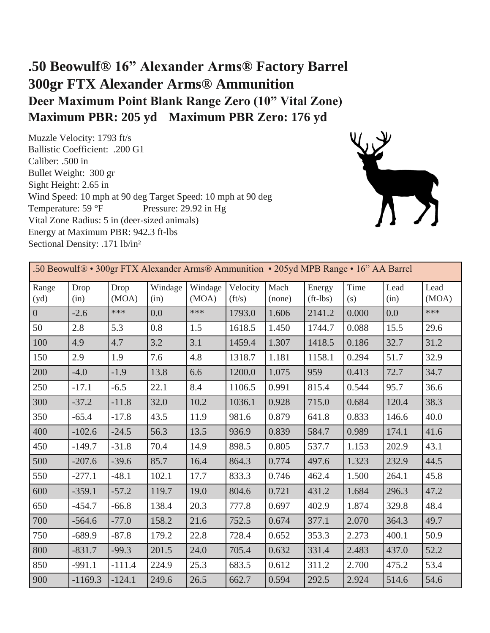## **.50 Beowulf® 16" Alexander Arms® Factory Barrel 300gr FTX Alexander Arms® Ammunition Deer Maximum Point Blank Range Zero (10" Vital Zone) Maximum PBR: 205 yd Maximum PBR Zero: 176 yd**

Muzzle Velocity: 1793 ft/s Ballistic Coefficient: .200 G1 Caliber: .500 in Bullet Weight: 300 gr Sight Height: 2.65 in Wind Speed: 10 mph at 90 deg Target Speed: 10 mph at 90 deg Temperature: 59 °F Pressure: 29.92 in Hg Vital Zone Radius: 5 in (deer-sized animals) Energy at Maximum PBR: 942.3 ft-lbs Sectional Density: .171 lb/in²



| .50 Beowulf® • 300gr FTX Alexander Arms® Ammunition • 205yd MPB Range • 16" AA Barrel |              |               |                 |                  |                            |                |                        |             |              |               |  |
|---------------------------------------------------------------------------------------|--------------|---------------|-----------------|------------------|----------------------------|----------------|------------------------|-------------|--------------|---------------|--|
| Range<br>(yd)                                                                         | Drop<br>(in) | Drop<br>(MOA) | Windage<br>(in) | Windage<br>(MOA) | Velocity<br>$({\rm ft/s})$ | Mach<br>(none) | Energy<br>$(ft - lbs)$ | Time<br>(s) | Lead<br>(in) | Lead<br>(MOA) |  |
| $\overline{0}$                                                                        | $-2.6$       | ***           | 0.0             | ***              | 1793.0                     | 1.606          | 2141.2                 | 0.000       | 0.0          | ***           |  |
| 50                                                                                    | 2.8          | 5.3           | 0.8             | 1.5              | 1618.5                     | 1.450          | 1744.7                 | 0.088       | 15.5         | 29.6          |  |
| 100                                                                                   | 4.9          | 4.7           | 3.2             | 3.1              | 1459.4                     | 1.307          | 1418.5                 | 0.186       | 32.7         | 31.2          |  |
| 150                                                                                   | 2.9          | 1.9           | 7.6             | 4.8              | 1318.7                     | 1.181          | 1158.1                 | 0.294       | 51.7         | 32.9          |  |
| 200                                                                                   | $-4.0$       | $-1.9$        | 13.8            | 6.6              | 1200.0                     | 1.075          | 959                    | 0.413       | 72.7         | 34.7          |  |
| 250                                                                                   | $-17.1$      | $-6.5$        | 22.1            | 8.4              | 1106.5                     | 0.991          | 815.4                  | 0.544       | 95.7         | 36.6          |  |
| 300                                                                                   | $-37.2$      | $-11.8$       | 32.0            | 10.2             | 1036.1                     | 0.928          | 715.0                  | 0.684       | 120.4        | 38.3          |  |
| 350                                                                                   | $-65.4$      | $-17.8$       | 43.5            | 11.9             | 981.6                      | 0.879          | 641.8                  | 0.833       | 146.6        | 40.0          |  |
| 400                                                                                   | $-102.6$     | $-24.5$       | 56.3            | 13.5             | 936.9                      | 0.839          | 584.7                  | 0.989       | 174.1        | 41.6          |  |
| 450                                                                                   | $-149.7$     | $-31.8$       | 70.4            | 14.9             | 898.5                      | 0.805          | 537.7                  | 1.153       | 202.9        | 43.1          |  |
| 500                                                                                   | $-207.6$     | $-39.6$       | 85.7            | 16.4             | 864.3                      | 0.774          | 497.6                  | 1.323       | 232.9        | 44.5          |  |
| 550                                                                                   | $-277.1$     | $-48.1$       | 102.1           | 17.7             | 833.3                      | 0.746          | 462.4                  | 1.500       | 264.1        | 45.8          |  |
| 600                                                                                   | $-359.1$     | $-57.2$       | 119.7           | 19.0             | 804.6                      | 0.721          | 431.2                  | 1.684       | 296.3        | 47.2          |  |
| 650                                                                                   | $-454.7$     | $-66.8$       | 138.4           | 20.3             | 777.8                      | 0.697          | 402.9                  | 1.874       | 329.8        | 48.4          |  |
| 700                                                                                   | $-564.6$     | $-77.0$       | 158.2           | 21.6             | 752.5                      | 0.674          | 377.1                  | 2.070       | 364.3        | 49.7          |  |
| 750                                                                                   | $-689.9$     | $-87.8$       | 179.2           | 22.8             | 728.4                      | 0.652          | 353.3                  | 2.273       | 400.1        | 50.9          |  |
| 800                                                                                   | $-831.7$     | $-99.3$       | 201.5           | 24.0             | 705.4                      | 0.632          | 331.4                  | 2.483       | 437.0        | 52.2          |  |
| 850                                                                                   | $-991.1$     | $-111.4$      | 224.9           | 25.3             | 683.5                      | 0.612          | 311.2                  | 2.700       | 475.2        | 53.4          |  |
| 900                                                                                   | $-1169.3$    | $-124.1$      | 249.6           | 26.5             | 662.7                      | 0.594          | 292.5                  | 2.924       | 514.6        | 54.6          |  |